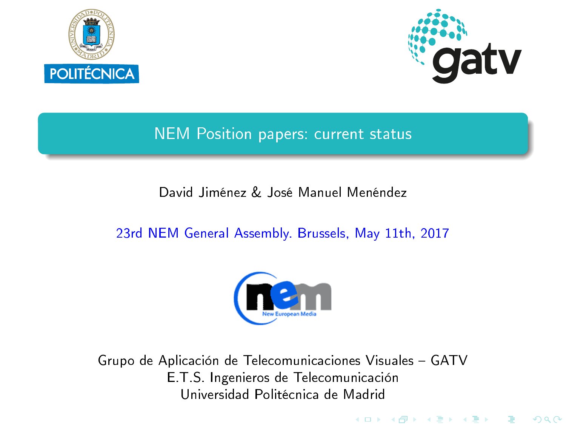<span id="page-0-0"></span>



K ロ K K @ K K R K X R K T R

 $299$ 

## NEM Position papers: current status

#### David Jiménez & José Manuel Menéndez

#### 23rd NEM General Assembly. Brussels, May 11th, 2017



Grupo de Aplicación de Telecomunicaciones Visuales GATV E.T.S. Ingenieros de Telecomunicación Universidad Politécnica de Madrid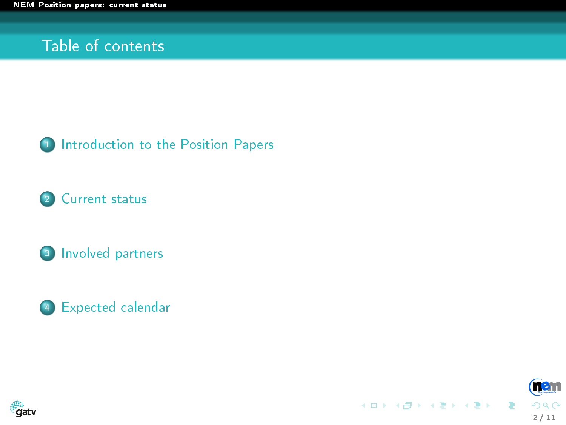#### Table of contents



2 [Current status](#page-3-0)







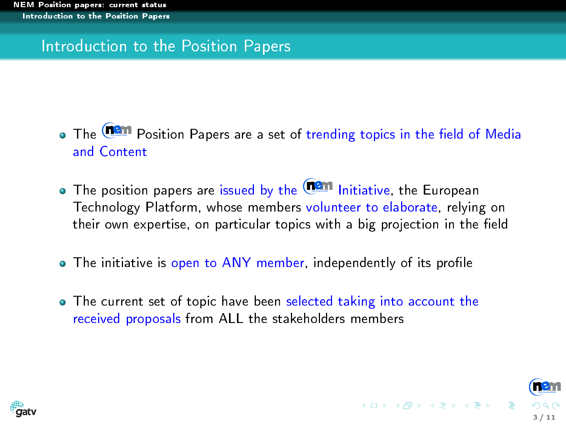#### <span id="page-2-0"></span>Introduction to the Position Papers

- . The **Can** Position Papers are a set of trending topics in the field of Media and Content
- $\bullet$  The position papers are issued by the  $\Box$  Initiative, the European Technology Platform, whose members volunteer to elaborate, relying on their own expertise, on particular topics with a big projection in the field
- The initiative is open to ANY member, independently of its profile
- The current set of topic have been selected taking into account the received proposals from ALL the stakeholders members

3 / 11

イロト イ団 トメ ミト メ ミト

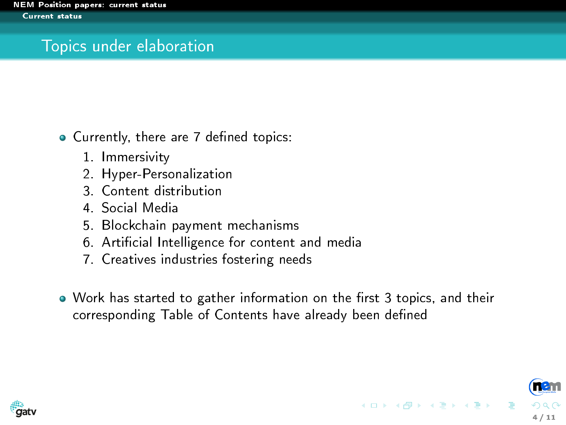### <span id="page-3-0"></span>Topics under elaboration

• Currently, there are 7 defined topics:

- 1. Immersivity
- 2. Hyper-Personalization
- 3. Content distribution
- 4. Social Media
- 5. Blockchain payment mechanisms
- 6. Articial Intelligence for content and media
- 7. Creatives industries fostering needs
- . Work has started to gather information on the first 3 topics, and their corresponding Table of Contents have already been defined

4 / 11

イロメ イ団メ イモメ イモメー

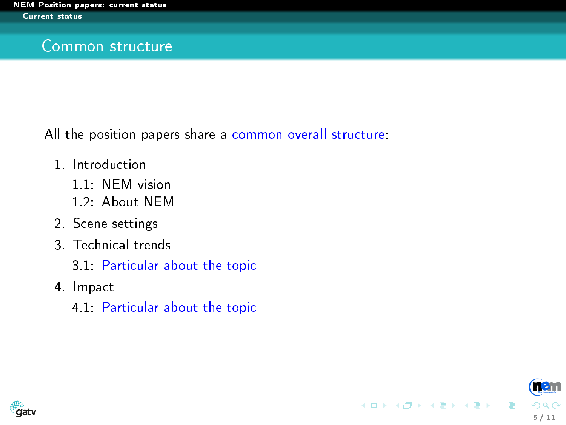#### <span id="page-4-0"></span>Common structure

All the position papers share a common overall structure:

- 1. Introduction
	- 1.1: NEM vision
	- 1.2: About NEM
- 2. Scene settings
- 3. Technical trends
	- 3.1: Particular about the topic
- 4. Impact
	- 4.1: Particular about the topic



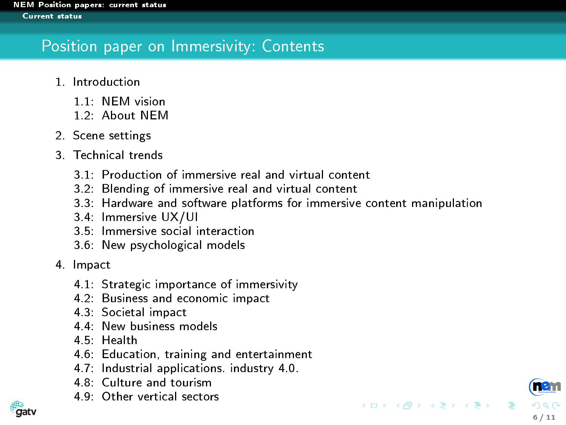## <span id="page-5-0"></span>Position paper on Immersivity: Contents

- 1. Introduction
	- 1.1: NEM vision
	- 1.2: About NEM
- 2. Scene settings
- 3. Technical trends
	- 3.1: Production of immersive real and virtual content
	- 3.2: Blending of immersive real and virtual content
	- 3.3: Hardware and software platforms for immersive content manipulation

6 / 11

イロメ イ部メ イヨメ イヨメ

- 3.4: Immersive UX/UI
- 3.5: Immersive social interaction
- 3.6: New psychological models
- 4. Impact
	- 4.1: Strategic importance of immersivity
	- 4.2: Business and economic impact
	- 4.3: Societal impact
	- 4.4: New business models
	- 4.5: Health
	- 4.6: Education, training and entertainment
	- 4.7: Industrial applications. industry 4.0.
	- 4.8: Culture and tourism
	- 4.9: Other vertical sectors

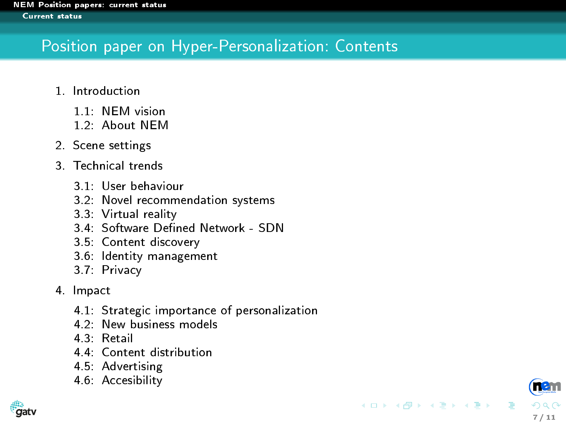# <span id="page-6-0"></span>Position paper on Hyper-Personalization: Contents

- 1. Introduction
	- 1.1: NEM vision
	- 1.2: About NEM
- 2. Scene settings
- 3. Technical trends
	- 3.1: User behaviour
	- 3.2: Novel recommendation systems
	- 3.3: Virtual reality
	- 3.4: Software Defined Network SDN
	- 3.5: Content discovery
	- 3.6: Identity management
	- 3.7: Privacy
- 4. Impact
	- 4.1 Strategic importance of personalization
	- 4.2: New business models
	- 4.3: Retail
	- 4.4: Content distribution
	- 4.5: Advertising
	- 4.6: Accesibility



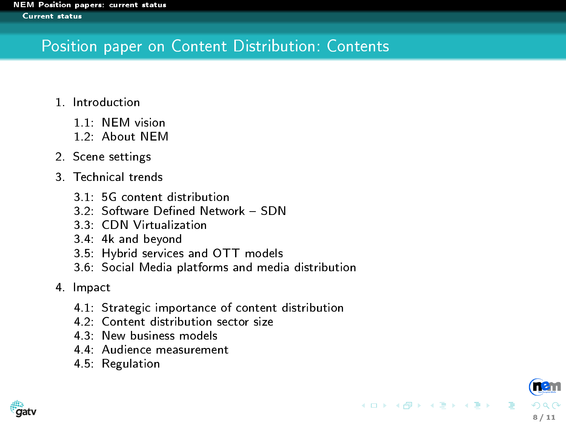## <span id="page-7-0"></span>Position paper on Content Distribution: Contents

- 1. Introduction
	- 1.1 NEM vision
	- 1.2: About NEM
- 2. Scene settings
- 3. Technical trends
	- 3.1: 5G content distribution
	- 3.2: Software Defined Network SDN
	- 3.3: CDN Virtualization
	- 3.4: 4k and beyond
	- 3.5: Hybrid services and OTT models
	- 3.6: Social Media platforms and media distribution
- 4. Impact
	- 4.1: Strategic importance of content distribution

8 / 11

イロト イ団ト イヨト イヨト

- 4.2: Content distribution sector size
- 4.3: New business models
- 4.4: Audience measurement
- 4.5: Regulation

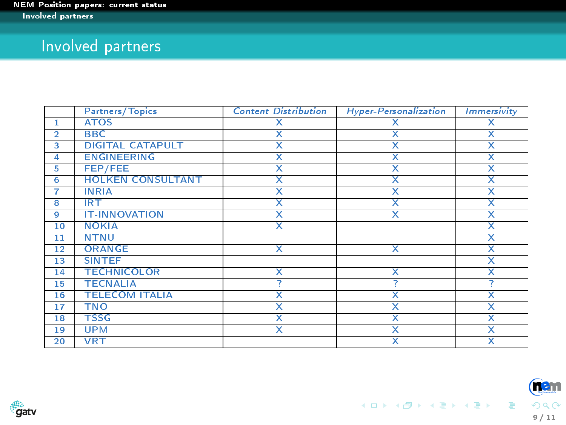## <span id="page-8-0"></span>Involved partners

|                         | Partners/Topics          | <b>Content Distribution</b> | Hyper-Personalization   | <b>Immersivity</b>      |
|-------------------------|--------------------------|-----------------------------|-------------------------|-------------------------|
| 1                       | <b>ATOS</b>              | х                           | х                       | x                       |
| $\overline{2}$          | <b>BBC</b>               | $\overline{\mathsf{x}}$     | $\overline{\mathsf{x}}$ | $\overline{\mathsf{x}}$ |
| 3                       | <b>DIGITAL CATAPULT</b>  | X                           | x                       | x                       |
| 4                       | <b>ENGINEERING</b>       | $\overline{\mathsf{x}}$     | $\overline{\mathsf{x}}$ | x                       |
| 5                       | FEP/FEE                  | $\overline{\mathsf{x}}$     | $\overline{\mathsf{x}}$ | $\overline{\mathsf{x}}$ |
| 6                       | <b>HOLKEN CONSULTANT</b> | x                           | x                       | x                       |
| 7                       | <b>INRIA</b>             | $\overline{\mathsf{x}}$     | $\overline{\mathsf{x}}$ | $\overline{\mathsf{x}}$ |
| $\overline{\mathbf{8}}$ | <b>IRT</b>               | $\overline{\mathsf{x}}$     | $\overline{\mathsf{x}}$ | $\overline{\mathsf{x}}$ |
| 9                       | <b>IT-INNOVATION</b>     | Χ                           | x                       | x                       |
| 10                      | <b>NOKIA</b>             | $\overline{\mathsf{x}}$     |                         | $\overline{\mathsf{x}}$ |
| 11                      | <b>NTNU</b>              |                             |                         | $\overline{\mathsf{x}}$ |
| 12                      | <b>ORANGE</b>            | x                           | x                       | x                       |
| 13                      | <b>SINTEF</b>            |                             |                         | x                       |
| 14                      | <b>TECHNICOLOR</b>       | $\overline{\mathsf{x}}$     | $\overline{\mathsf{x}}$ | $\overline{\mathsf{x}}$ |
| 15                      | <b>TECNALIA</b>          |                             |                         |                         |
| 16                      | <b>TELECOM ITALIA</b>    | $\overline{\mathsf{x}}$     | $\overline{\mathsf{x}}$ | $\overline{\mathsf{x}}$ |
| 17                      | <b>TNO</b>               | $\overline{\textsf{x}}$     | $\overline{\mathsf{x}}$ | $\overline{\mathsf{x}}$ |
| 18                      | <b>TSSG</b>              | x                           | X                       | x                       |
| 19                      | <b>UPM</b>               | $\overline{\mathsf{x}}$     | $\overline{\mathsf{x}}$ | $\overline{\mathsf{x}}$ |
| 20                      | <b>VRT</b>               |                             | $\overline{\mathsf{x}}$ | $\overline{\mathsf{x}}$ |

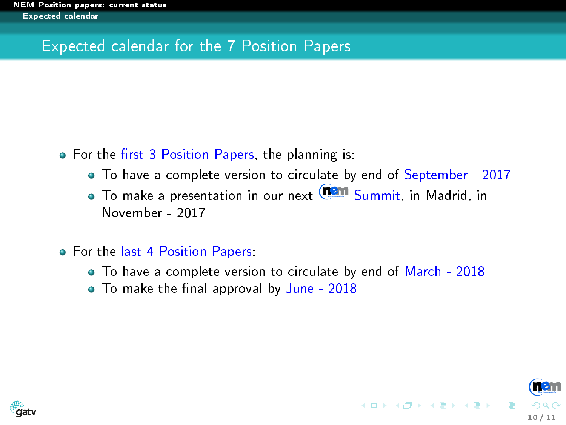### <span id="page-9-0"></span>Expected calendar for the 7 Position Papers

- For the first 3 Position Papers, the planning is:
	- To have a complete version to circulate by end of September 2017
	- To make a presentation in our next **Tan Summit, in Madrid, in** November - 2017
- For the last 4 Position Papers:
	- To have a complete version to circulate by end of March 2018

10 / 11

 $\mathcal{A} \subseteq \mathcal{P} \times \mathcal{A} \oplus \mathcal{P} \times \mathcal{A} \oplus \mathcal{P} \times \mathcal{A} \oplus \mathcal{P} \times \mathcal{A}$ 

• To make the final approval by June - 2018